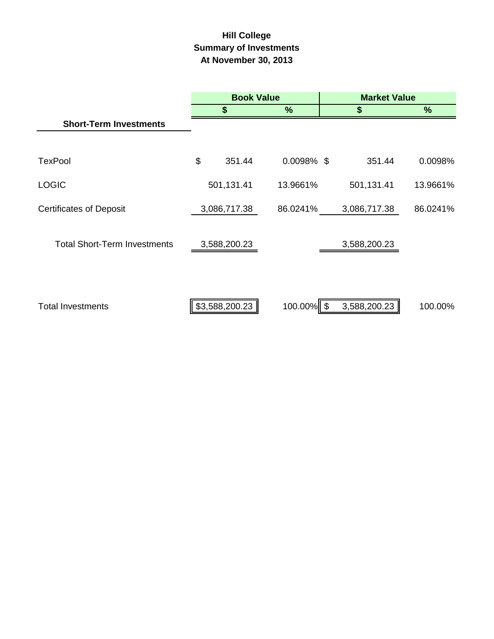# **Hill College Summary of Investments At November 30, 2013**

|                                     | <b>Book Value</b> |               | <b>Market Value</b> |          |
|-------------------------------------|-------------------|---------------|---------------------|----------|
|                                     | S                 | %             | \$                  | %        |
| <b>Short-Term Investments</b>       |                   |               |                     |          |
|                                     |                   |               |                     |          |
| <b>TexPool</b>                      | \$<br>351.44      | $0.0098\%$ \$ | 351.44              | 0.0098%  |
| <b>LOGIC</b>                        | 501,131.41        | 13.9661%      | 501,131.41          | 13.9661% |
| <b>Certificates of Deposit</b>      | 3,086,717.38      | 86.0241%      | 3,086,717.38        | 86.0241% |
| <b>Total Short-Term Investments</b> | 3,588,200.23      |               | 3,588,200.23        |          |
| <b>Total Investments</b>            | \$3,588,200.23    | 100.00% \$    | 3,588,200.23        | 100.00%  |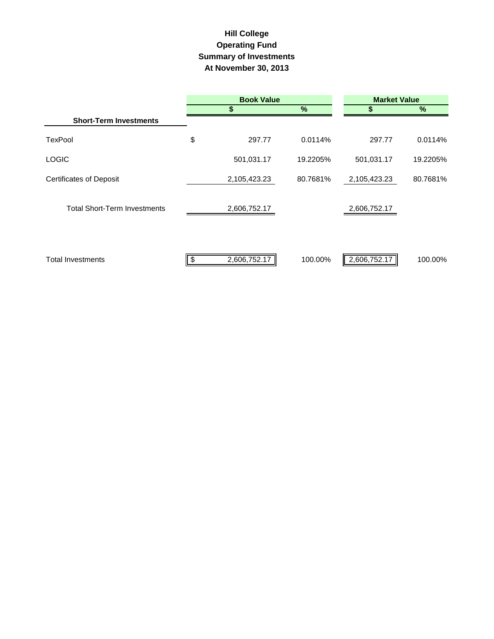### **Hill College Operating Fund At November 30, 2013 Summary of Investments**

|                                     | <b>Book Value</b> |              |          | <b>Market Value</b> |          |  |  |
|-------------------------------------|-------------------|--------------|----------|---------------------|----------|--|--|
|                                     |                   | \$           | %        |                     | %        |  |  |
| <b>Short-Term Investments</b>       |                   |              |          |                     |          |  |  |
| <b>TexPool</b>                      | \$                | 297.77       | 0.0114%  | 297.77              | 0.0114%  |  |  |
| <b>LOGIC</b>                        |                   | 501,031.17   | 19.2205% | 501,031.17          | 19.2205% |  |  |
| <b>Certificates of Deposit</b>      |                   | 2,105,423.23 | 80.7681% | 2,105,423.23        | 80.7681% |  |  |
| <b>Total Short-Term Investments</b> |                   | 2,606,752.17 |          | 2,606,752.17        |          |  |  |
| <b>Total Investments</b>            | \$                | 2,606,752.17 | 100.00%  | 2,606,752.17        | 100.00%  |  |  |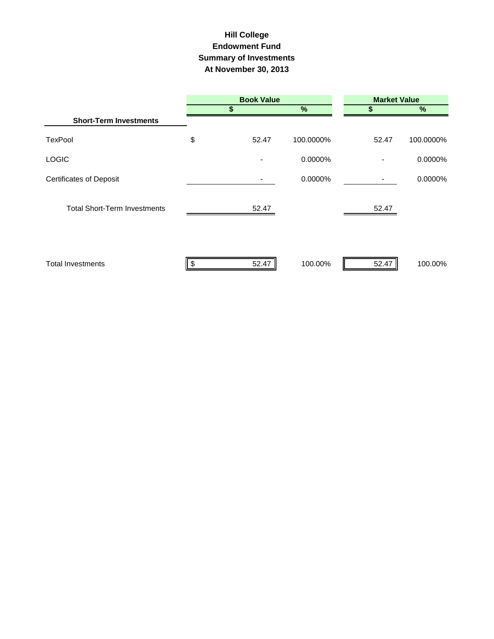## **Hill College Endowment Fund Summary of Investments At November 30, 2013**

|                                     | <b>Book Value</b> |           | <b>Market Value</b> |           |  |  |
|-------------------------------------|-------------------|-----------|---------------------|-----------|--|--|
|                                     | \$                | %         | S                   | $\%$      |  |  |
| <b>Short-Term Investments</b>       |                   |           |                     |           |  |  |
| <b>TexPool</b>                      | \$<br>52.47       | 100.0000% | 52.47               | 100.0000% |  |  |
| <b>LOGIC</b>                        |                   | 0.0000%   | $\blacksquare$      | 0.0000%   |  |  |
| <b>Certificates of Deposit</b>      |                   | 0.0000%   | $\blacksquare$      | 0.0000%   |  |  |
| <b>Total Short-Term Investments</b> | 52.47             |           | 52.47               |           |  |  |
| <b>Total Investments</b>            | 52.47             | 100.00%   | 52.47               | 100.00%   |  |  |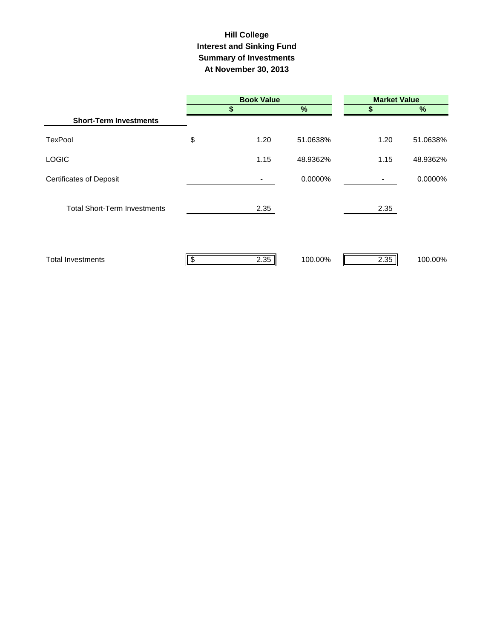## **Hill College Interest and Sinking Fund Summary of Investments At November 30, 2013**

|                                     |    | <b>Book Value</b> |          |                | <b>Market Value</b> |  |  |  |
|-------------------------------------|----|-------------------|----------|----------------|---------------------|--|--|--|
|                                     |    | \$                | %        | S              | %                   |  |  |  |
| <b>Short-Term Investments</b>       |    |                   |          |                |                     |  |  |  |
| <b>TexPool</b>                      | \$ | 1.20              | 51.0638% | 1.20           | 51.0638%            |  |  |  |
| <b>LOGIC</b>                        |    | 1.15              | 48.9362% | 1.15           | 48.9362%            |  |  |  |
| <b>Certificates of Deposit</b>      |    |                   | 0.0000%  | $\blacksquare$ | 0.0000%             |  |  |  |
| <b>Total Short-Term Investments</b> |    | 2.35              |          | 2.35           |                     |  |  |  |
| <b>Total Investments</b>            | S  | 2.35              | 100.00%  | 2.35           | 100.00%             |  |  |  |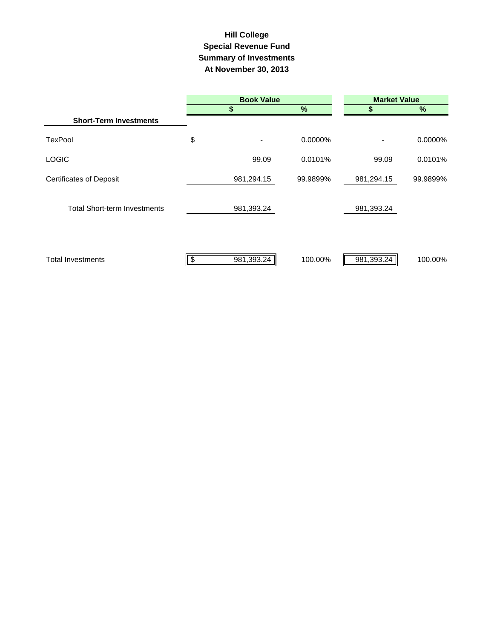## **Summary of Investments At November 30, 2013 Special Revenue Fund Hill College**

|                                     | <b>Book Value</b> |            |          | <b>Market Value</b>          |          |  |  |
|-------------------------------------|-------------------|------------|----------|------------------------------|----------|--|--|
|                                     |                   | \$         | %        | S                            | $\%$     |  |  |
| <b>Short-Term Investments</b>       |                   |            |          |                              |          |  |  |
| <b>TexPool</b>                      | \$                |            | 0.0000%  | $\qquad \qquad \blacksquare$ | 0.0000%  |  |  |
| <b>LOGIC</b>                        |                   | 99.09      | 0.0101%  | 99.09                        | 0.0101%  |  |  |
| <b>Certificates of Deposit</b>      |                   | 981,294.15 | 99.9899% | 981,294.15                   | 99.9899% |  |  |
| <b>Total Short-term Investments</b> |                   | 981,393.24 |          | 981,393.24                   |          |  |  |
| <b>Total Investments</b>            |                   | 981,393.24 | 100.00%  | 981,393.24                   | 100.00%  |  |  |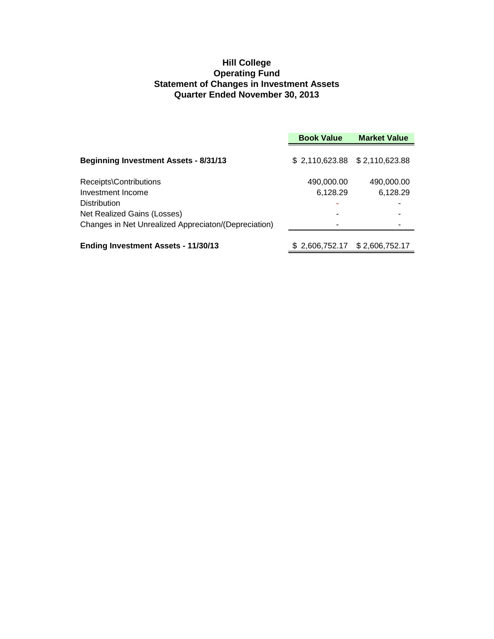#### **Hill College Operating Fund Statement of Changes in Investment Assets Quarter Ended November 30, 2013**

|                                                      | <b>Book Value</b>             | <b>Market Value</b> |
|------------------------------------------------------|-------------------------------|---------------------|
| <b>Beginning Investment Assets - 8/31/13</b>         | \$2,110,623.88 \$2,110,623.88 |                     |
| Receipts\Contributions                               | 490,000.00                    | 490,000.00          |
| Investment Income                                    | 6,128.29                      | 6,128.29            |
| <b>Distribution</b>                                  |                               |                     |
| Net Realized Gains (Losses)                          |                               |                     |
| Changes in Net Unrealized Appreciaton/(Depreciation) |                               |                     |
| <b>Ending Investment Assets - 11/30/13</b>           | \$2,606,752.17                | \$2,606,752.17      |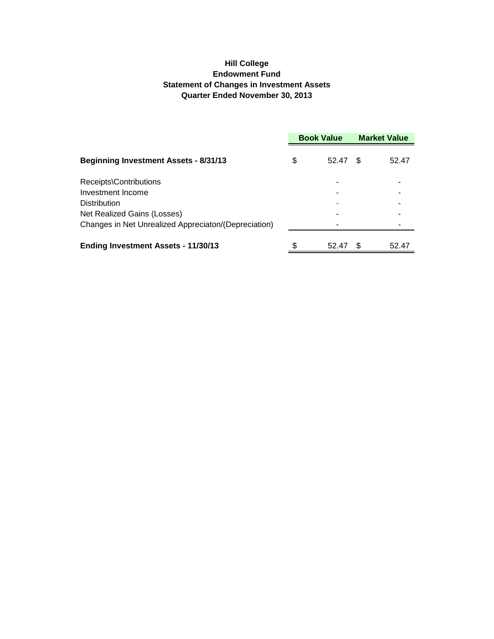#### **Hill College Endowment Fund Statement of Changes in Investment Assets Quarter Ended November 30, 2013**

|                                                      | <b>Book Value</b> |       | <b>Market Value</b> |       |
|------------------------------------------------------|-------------------|-------|---------------------|-------|
| <b>Beginning Investment Assets - 8/31/13</b>         | \$                | 52.47 | \$                  | 52.47 |
| Receipts\Contributions                               |                   |       |                     |       |
| Investment Income                                    |                   |       |                     |       |
| <b>Distribution</b>                                  |                   |       |                     |       |
| Net Realized Gains (Losses)                          |                   |       |                     |       |
| Changes in Net Unrealized Appreciaton/(Depreciation) |                   |       |                     |       |
| <b>Ending Investment Assets - 11/30/13</b>           | \$                | 52.47 | \$                  | 52.47 |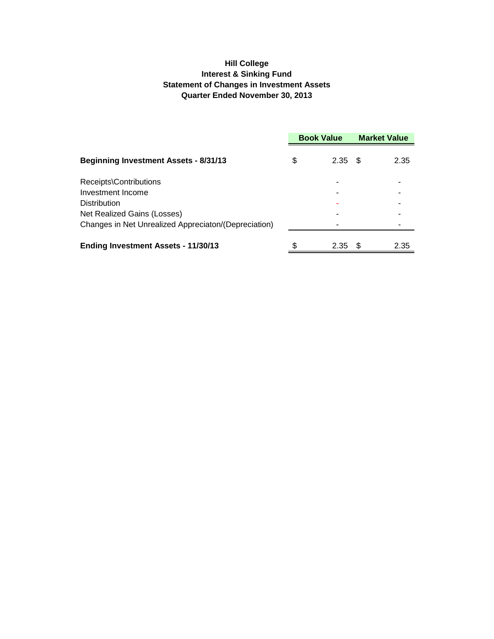#### **Hill College Interest & Sinking Fund Statement of Changes in Investment Assets Quarter Ended November 30, 2013**

|                                                      | <b>Book Value</b> |      | <b>Market Value</b> |      |
|------------------------------------------------------|-------------------|------|---------------------|------|
| <b>Beginning Investment Assets - 8/31/13</b>         | \$                | 2.35 | - \$                | 2.35 |
| Receipts\Contributions                               |                   |      |                     |      |
| Investment Income                                    |                   |      |                     |      |
| Distribution                                         |                   |      |                     |      |
| Net Realized Gains (Losses)                          |                   |      |                     |      |
| Changes in Net Unrealized Appreciaton/(Depreciation) |                   |      |                     |      |
| <b>Ending Investment Assets - 11/30/13</b>           | \$                | 2.35 | S                   | 2.35 |